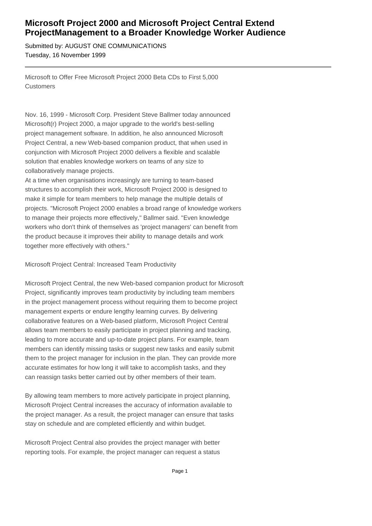## **Microsoft Project 2000 and Microsoft Project Central Extend Project
Management to a Broader Knowledge Worker Audience**

Submitted by: AUGUST ONE COMMUNICATIONS Tuesday, 16 November 1999

Microsoft to Offer Free Microsoft Project 2000 Beta CDs to First 5,000 **Customers** 

Nov. 16, 1999 - Microsoft Corp. President Steve Ballmer today announced Microsoft(r) Project 2000, a major upgrade to the world's best-selling project management software. In addition, he also announced Microsoft Project Central, a new Web-based companion product, that when used in conjunction with Microsoft Project 2000 delivers a flexible and scalable solution that enables knowledge workers on teams of any size to collaboratively manage projects.

At a time when organisations increasingly are turning to team-based structures to accomplish their work, Microsoft Project 2000 is designed to make it simple for team members to help manage the multiple details of projects. "Microsoft Project 2000 enables a broad range of knowledge workers to manage their projects more effectively," Ballmer said. "Even knowledge workers who don't think of themselves as 'project managers' can benefit from the product because it improves their ability to manage details and work together more effectively with others."

Microsoft Project Central: Increased Team Productivity

Microsoft Project Central, the new Web-based companion product for Microsoft Project, significantly improves team productivity by including team members in the project management process without requiring them to become project management experts or endure lengthy learning curves. By delivering collaborative features on a Web-based platform, Microsoft Project Central allows team members to easily participate in project planning and tracking, leading to more accurate and up-to-date project plans. For example, team members can identify missing tasks or suggest new tasks and easily submit them to the project manager for inclusion in the plan. They can provide more accurate estimates for how long it will take to accomplish tasks, and they can reassign tasks better carried out by other members of their team.

By allowing team members to more actively participate in project planning, Microsoft Project Central increases the accuracy of information available to the project manager. As a result, the project manager can ensure that tasks stay on schedule and are completed efficiently and within budget.

Microsoft Project Central also provides the project manager with better reporting tools. For example, the project manager can request a status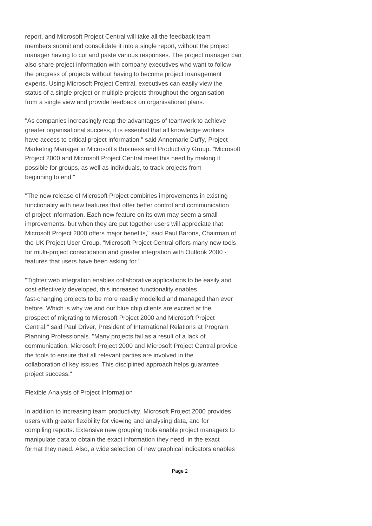report, and Microsoft Project Central will take all the feedback team members submit and consolidate it into a single report, without the project manager having to cut and paste various responses. The project manager can also share project information with company executives who want to follow the progress of projects without having to become project management experts. Using Microsoft Project Central, executives can easily view the status of a single project or multiple projects throughout the organisation from a single view and provide feedback on organisational plans.

"As companies increasingly reap the advantages of teamwork to achieve greater organisational success, it is essential that all knowledge workers have access to critical project information," said Annemarie Duffy, Project Marketing Manager in Microsoft's Business and Productivity Group. "Microsoft Project 2000 and Microsoft Project Central meet this need by making it possible for groups, as well as individuals, to track projects from beginning to end."

"The new release of Microsoft Project combines improvements in existing functionality with new features that offer better control and communication of project information. Each new feature on its own may seem a small improvements, but when they are put together users will appreciate that Microsoft Project 2000 offers major benefits," said Paul Barons, Chairman of the UK Project User Group. "Microsoft Project Central offers many new tools for multi-project consolidation and greater integration with Outlook 2000 features that users have been asking for."

"Tighter web integration enables collaborative applications to be easily and cost effectively developed, this increased functionality enables fast-changing projects to be more readily modelled and managed than ever before. Which is why we and our blue chip clients are excited at the prospect of migrating to Microsoft Project 2000 and Microsoft Project Central," said Paul Driver, President of International Relations at Program Planning Professionals. "Many projects fail as a result of a lack of communication. Microsoft Project 2000 and Microsoft Project Central provide the tools to ensure that all relevant parties are involved in the collaboration of key issues. This disciplined approach helps guarantee project success."

Flexible Analysis of Project Information

In addition to increasing team productivity, Microsoft Project 2000 provides users with greater flexibility for viewing and analysing data, and for compiling reports. Extensive new grouping tools enable project managers to manipulate data to obtain the exact information they need, in the exact format they need. Also, a wide selection of new graphical indicators enables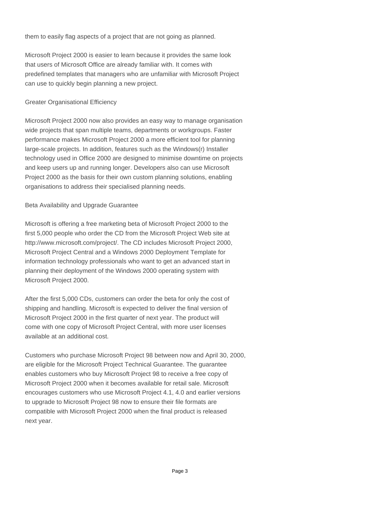them to easily flag aspects of a project that are not going as planned.

Microsoft Project 2000 is easier to learn because it provides the same look that users of Microsoft Office are already familiar with. It comes with predefined templates that managers who are unfamiliar with Microsoft Project can use to quickly begin planning a new project.

## Greater Organisational Efficiency

Microsoft Project 2000 now also provides an easy way to manage organisation wide projects that span multiple teams, departments or workgroups. Faster performance makes Microsoft Project 2000 a more efficient tool for planning large-scale projects. In addition, features such as the Windows(r) Installer technology used in Office 2000 are designed to minimise downtime on projects and keep users up and running longer. Developers also can use Microsoft Project 2000 as the basis for their own custom planning solutions, enabling organisations to address their specialised planning needs.

## Beta Availability and Upgrade Guarantee

Microsoft is offering a free marketing beta of Microsoft Project 2000 to the first 5,000 people who order the CD from the Microsoft Project Web site at http://www.microsoft.com/project/. The CD includes Microsoft Project 2000, Microsoft Project Central and a Windows 2000 Deployment Template for information technology professionals who want to get an advanced start in planning their deployment of the Windows 2000 operating system with Microsoft Project 2000.

After the first 5,000 CDs, customers can order the beta for only the cost of shipping and handling. Microsoft is expected to deliver the final version of Microsoft Project 2000 in the first quarter of next year. The product will come with one copy of Microsoft Project Central, with more user licenses available at an additional cost.

Customers who purchase Microsoft Project 98 between now and April 30, 2000, are eligible for the Microsoft Project Technical Guarantee. The guarantee enables customers who buy Microsoft Project 98 to receive a free copy of Microsoft Project 2000 when it becomes available for retail sale. Microsoft encourages customers who use Microsoft Project 4.1, 4.0 and earlier versions to upgrade to Microsoft Project 98 now to ensure their file formats are compatible with Microsoft Project 2000 when the final product is released next year.